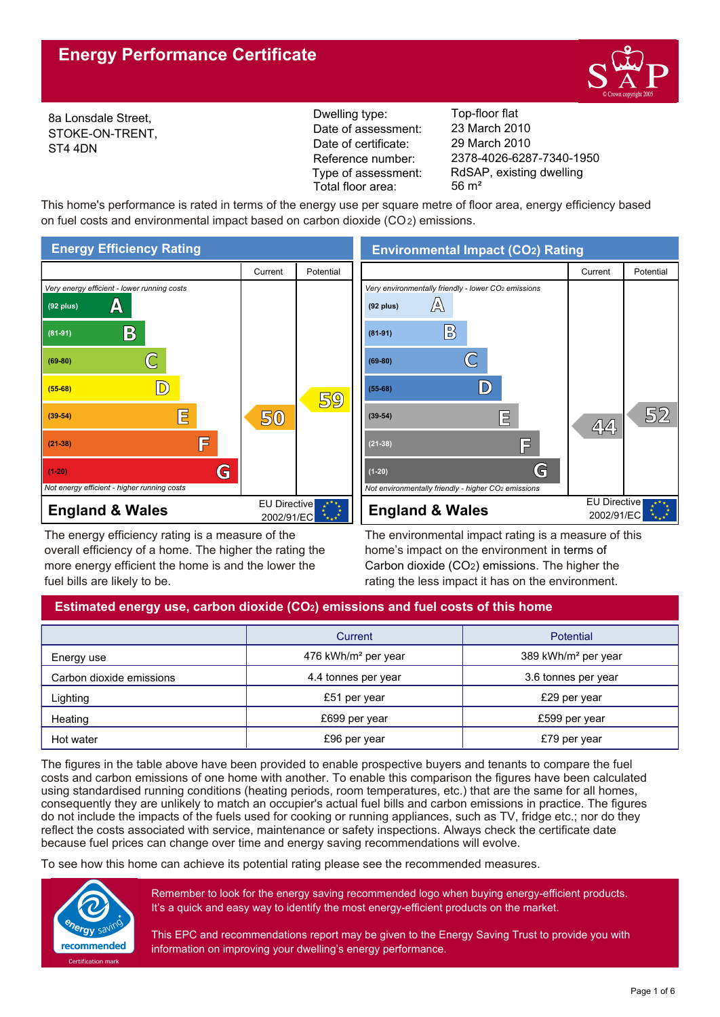

8a Lonsdale Street, STOKE-ON-TRENT, ST4 4DN

Reference number: Dwelling type: Top-floor flat Date of certificate: Date of assessment: Type of assessment: Total floor area: 56 m<sup>2</sup>

2378-4026-6287-7340-1950 29 March 2010 23 March 2010 RdSAP, existing dwelling

This home's performance is rated in terms of the energy use per square metre of floor area, energy efficiency based on fuel costs and environmental impact based on carbon dioxide (CO2) emissions.



The energy efficiency rating is a measure of the overall efficiency of a home. The higher the rating the more energy efficient the home is and the lower the fuel bills are likely to be.

**Environmental Impact (CO2) Rating**



The environmental impact rating is a measure of this home's impact on the environment in terms of Carbon dioxide (CO2) emissions. The higher the rating the less impact it has on the environment.

# **Estimated energy use, carbon dioxide (CO2) emissions and fuel costs of this home**

|                          | Current                         | <b>Potential</b>                |
|--------------------------|---------------------------------|---------------------------------|
| Energy use               | 476 kWh/m <sup>2</sup> per year | 389 kWh/m <sup>2</sup> per year |
| Carbon dioxide emissions | 4.4 tonnes per year             | 3.6 tonnes per year             |
| Lighting                 | £51 per year                    | £29 per year                    |
| Heating                  | £699 per year                   | £599 per year                   |
| Hot water                | £96 per year                    | £79 per year                    |

The figures in the table above have been provided to enable prospective buyers and tenants to compare the fuel costs and carbon emissions of one home with another. To enable this comparison the figures have been calculated using standardised running conditions (heating periods, room temperatures, etc.) that are the same for all homes, consequently they are unlikely to match an occupier's actual fuel bills and carbon emissions in practice. The figures do not include the impacts of the fuels used for cooking or running appliances, such as TV, fridge etc.; nor do they reflect the costs associated with service, maintenance or safety inspections. Always check the certificate date because fuel prices can change over time and energy saving recommendations will evolve.

To see how this home can achieve its potential rating please see the recommended measures.



Remember to look for the energy saving recommended logo when buying energy-efficient products. It's a quick and easy way to identify the most energy-efficient products on the market.

This EPC and recommendations report may be given to the Energy Saving Trust to provide you with information on improving your dwelling's energy performance.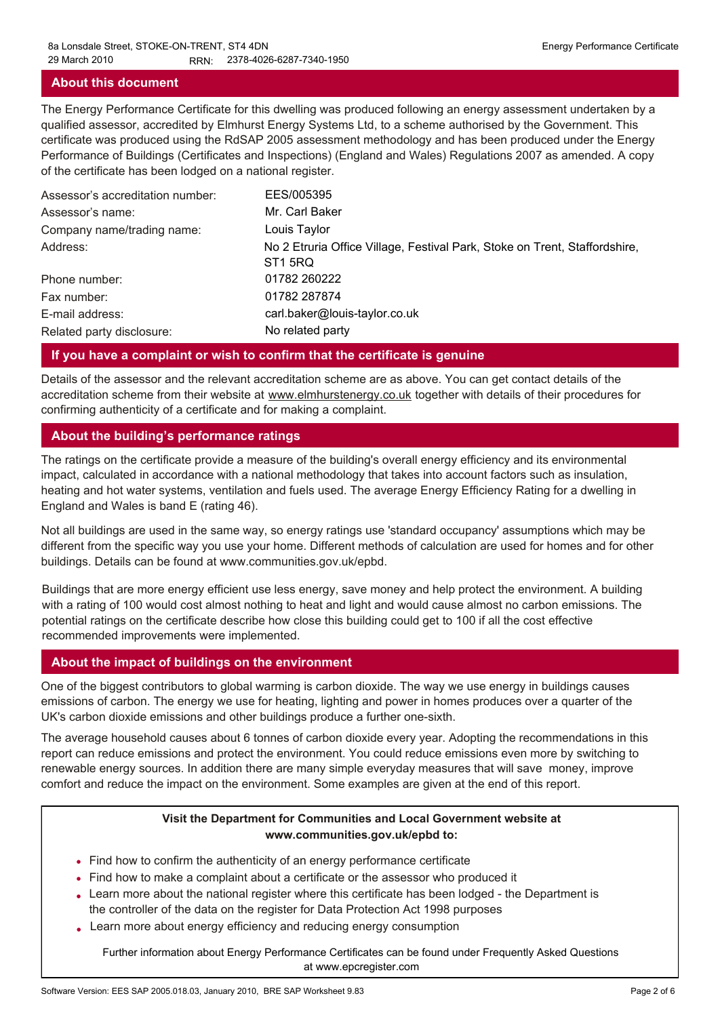# **About this document**

The Energy Performance Certificate for this dwelling was produced following an energy assessment undertaken by a qualified assessor, accredited by Elmhurst Energy Systems Ltd, to a scheme authorised by the Government. This certificate was produced using the RdSAP 2005 assessment methodology and has been produced under the Energy Performance of Buildings (Certificates and Inspections) (England and Wales) Regulations 2007 as amended. A copy of the certificate has been lodged on a national register.

| Assessor's accreditation number: | EES/005395                                                                                        |
|----------------------------------|---------------------------------------------------------------------------------------------------|
| Assessor's name:                 | Mr. Carl Baker                                                                                    |
| Company name/trading name:       | Louis Taylor                                                                                      |
| Address:                         | No 2 Etruria Office Village, Festival Park, Stoke on Trent, Staffordshire,<br>ST <sub>1</sub> 5RQ |
| Phone number:                    | 01782 260222                                                                                      |
| Fax number:                      | 01782 287874                                                                                      |
| E-mail address:                  | carl.baker@louis-taylor.co.uk                                                                     |
| Related party disclosure:        | No related party                                                                                  |

# **If you have a complaint or wish to confirm that the certificate is genuine**

Details of the assessor and the relevant accreditation scheme are as above. You can get contact details of the accreditation scheme from their website at www.elmhurstenergy.co.uk together with details of their procedures for confirming authenticity of a certificate and for making a complaint.

# **About the building's performance ratings**

The ratings on the certificate provide a measure of the building's overall energy efficiency and its environmental impact, calculated in accordance with a national methodology that takes into account factors such as insulation, heating and hot water systems, ventilation and fuels used. The average Energy Efficiency Rating for a dwelling in England and Wales is band E (rating 46).

Not all buildings are used in the same way, so energy ratings use 'standard occupancy' assumptions which may be different from the specific way you use your home. Different methods of calculation are used for homes and for other buildings. Details can be found at www.communities.gov.uk/epbd.

Buildings that are more energy efficient use less energy, save money and help protect the environment. A building with a rating of 100 would cost almost nothing to heat and light and would cause almost no carbon emissions. The potential ratings on the certificate describe how close this building could get to 100 if all the cost effective recommended improvements were implemented.

# **About the impact of buildings on the environment**

One of the biggest contributors to global warming is carbon dioxide. The way we use energy in buildings causes emissions of carbon. The energy we use for heating, lighting and power in homes produces over a quarter of the UK's carbon dioxide emissions and other buildings produce a further one-sixth.

The average household causes about 6 tonnes of carbon dioxide every year. Adopting the recommendations in this report can reduce emissions and protect the environment. You could reduce emissions even more by switching to renewable energy sources. In addition there are many simple everyday measures that will save money, improve comfort and reduce the impact on the environment. Some examples are given at the end of this report.

## **Visit the Department for Communities and Local Government website at www.communities.gov.uk/epbd to:**

- Find how to confirm the authenticity of an energy performance certificate •
- Find how to make a complaint about a certificate or the assessor who produced it •
- Learn more about the national register where this certificate has been lodged the Department is the controller of the data on the register for Data Protection Act 1998 purposes
- Learn more about energy efficiency and reducing energy consumption •

Further information about Energy Performance Certificates can be found under Frequently Asked Questions at www.epcregister.com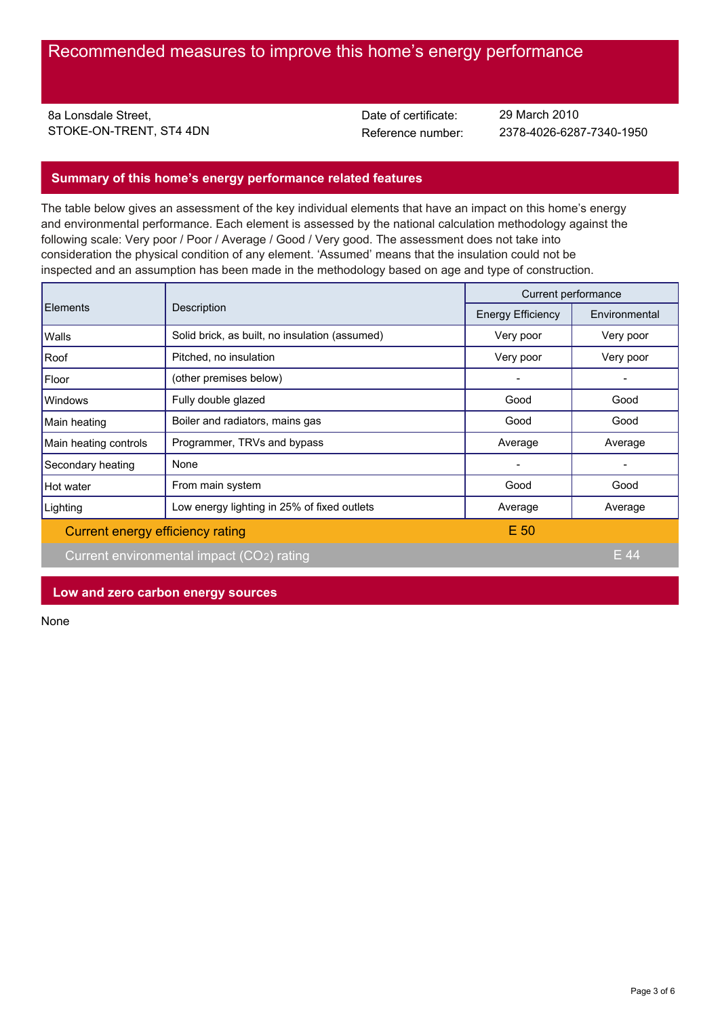# Recommended measures to improve this home's energy performance

8a Lonsdale Street, STOKE-ON-TRENT, ST4 4DN<br>
Reference number:

Date of certificate:

Reference number: 2378-4026-6287-7340-1950 29 March 2010

# **Summary of this home's energy performance related features**

The table below gives an assessment of the key individual elements that have an impact on this home's energy and environmental performance. Each element is assessed by the national calculation methodology against the following scale: Very poor / Poor / Average / Good / Very good. The assessment does not take into consideration the physical condition of any element. 'Assumed' means that the insulation could not be inspected and an assumption has been made in the methodology based on age and type of construction.

|                                           | Description                                    | Current performance      |               |
|-------------------------------------------|------------------------------------------------|--------------------------|---------------|
| <b>Elements</b>                           |                                                | <b>Energy Efficiency</b> | Environmental |
| Walls                                     | Solid brick, as built, no insulation (assumed) | Very poor                | Very poor     |
| Roof                                      | Pitched, no insulation                         | Very poor                | Very poor     |
| Floor                                     | (other premises below)                         |                          |               |
| <b>Windows</b>                            | Fully double glazed                            | Good                     | Good          |
| Main heating                              | Boiler and radiators, mains gas                | Good                     | Good          |
| Main heating controls                     | Programmer, TRVs and bypass                    | Average                  | Average       |
| Secondary heating                         | None                                           |                          |               |
| Hot water                                 | From main system                               | Good                     | Good          |
| Lighting                                  | Low energy lighting in 25% of fixed outlets    | Average                  | Average       |
| Current energy efficiency rating          |                                                | E 50                     |               |
| Current environmental impact (CO2) rating |                                                |                          | E 44          |

## **Low and zero carbon energy sources**

None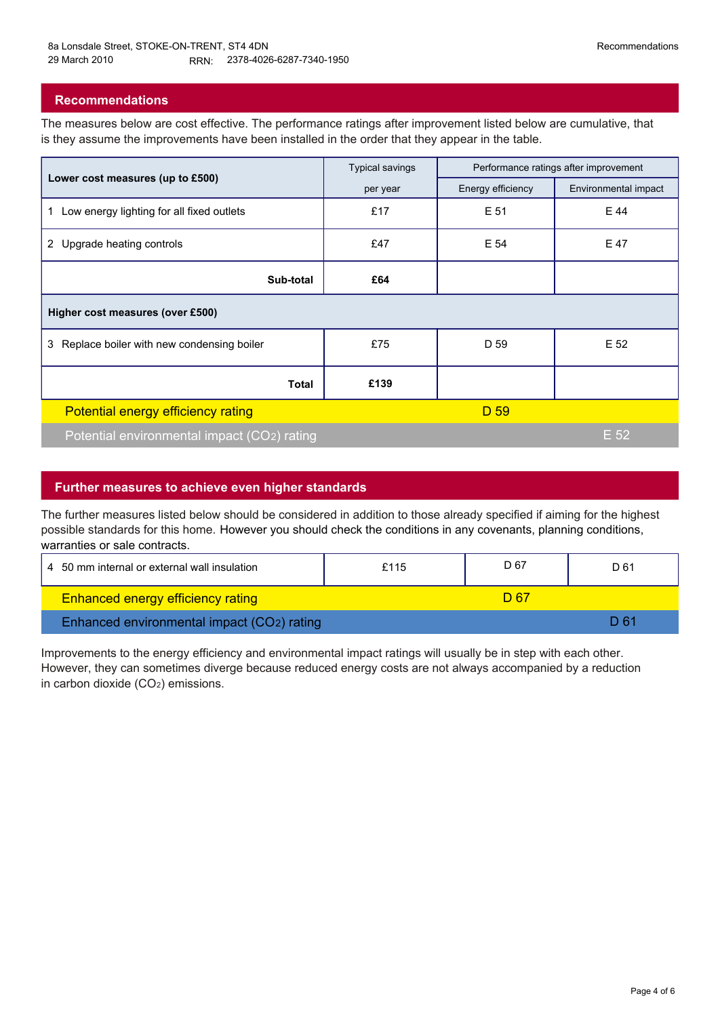# **Recommendations**

The measures below are cost effective. The performance ratings after improvement listed below are cumulative, that is they assume the improvements have been installed in the order that they appear in the table.

|                                                 | <b>Typical savings</b> | Performance ratings after improvement |                      |
|-------------------------------------------------|------------------------|---------------------------------------|----------------------|
| Lower cost measures (up to £500)                | per year               | Energy efficiency                     | Environmental impact |
| Low energy lighting for all fixed outlets<br>1. | £17                    | E 51                                  | E 44                 |
| 2 Upgrade heating controls                      | £47                    | E 54                                  | E 47                 |
| Sub-total                                       | £64                    |                                       |                      |
| Higher cost measures (over £500)                |                        |                                       |                      |
| Replace boiler with new condensing boiler<br>3  | £75                    | D 59                                  | E 52                 |
| <b>Total</b>                                    | £139                   |                                       |                      |
| Potential energy efficiency rating              |                        | D 59                                  |                      |
| Potential environmental impact (CO2) rating     |                        |                                       | E <sub>52</sub>      |

## **Further measures to achieve even higher standards**

The further measures listed below should be considered in addition to those already specified if aiming for the highest possible standards for this home. However you should check the conditions in any covenants, planning conditions, warranties or sale contracts.

| 4 50 mm internal or external wall insulation      | £115 | D 67 | D 61 |
|---------------------------------------------------|------|------|------|
| <b>Enhanced energy efficiency rating</b>          |      | D 67 |      |
| <b>Enhanced environmental impact (CO2) rating</b> |      |      | D 61 |

Improvements to the energy efficiency and environmental impact ratings will usually be in step with each other. However, they can sometimes diverge because reduced energy costs are not always accompanied by a reduction in carbon dioxide (CO2) emissions.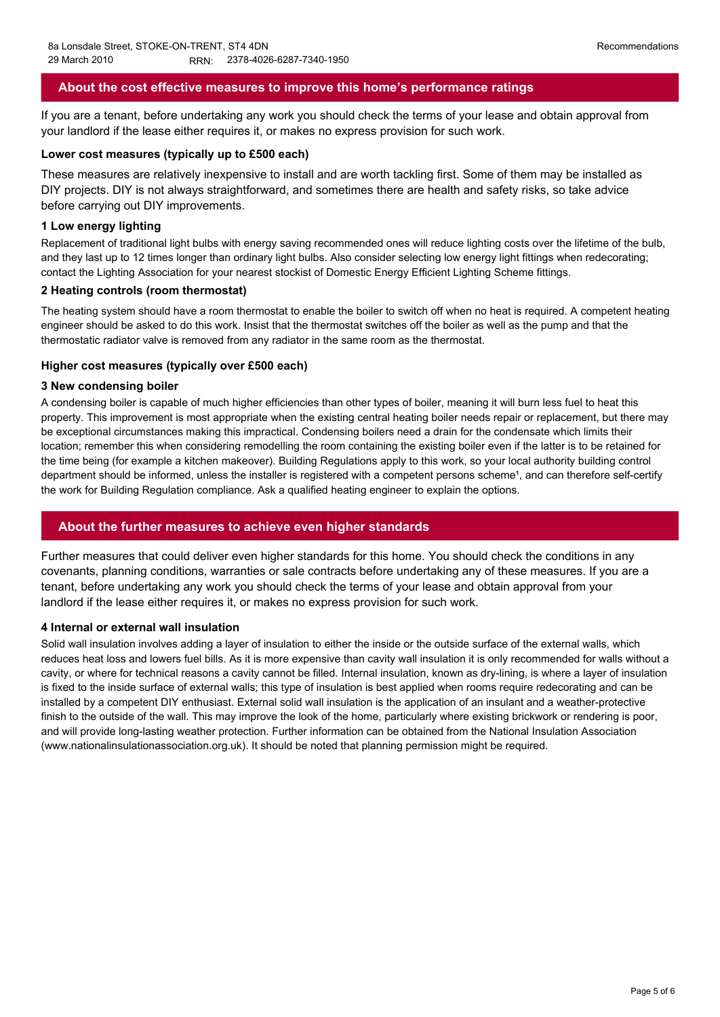# **About the cost effective measures to improve this home's performance ratings**

If you are a tenant, before undertaking any work you should check the terms of your lease and obtain approval from your landlord if the lease either requires it, or makes no express provision for such work.

### **Lower cost measures (typically up to £500 each)**

These measures are relatively inexpensive to install and are worth tackling first. Some of them may be installed as DIY projects. DIY is not always straightforward, and sometimes there are health and safety risks, so take advice before carrying out DIY improvements.

#### **1 Low energy lighting**

Replacement of traditional light bulbs with energy saving recommended ones will reduce lighting costs over the lifetime of the bulb, and they last up to 12 times longer than ordinary light bulbs. Also consider selecting low energy light fittings when redecorating; contact the Lighting Association for your nearest stockist of Domestic Energy Efficient Lighting Scheme fittings.

#### **2 Heating controls (room thermostat)**

The heating system should have a room thermostat to enable the boiler to switch off when no heat is required. A competent heating engineer should be asked to do this work. Insist that the thermostat switches off the boiler as well as the pump and that the thermostatic radiator valve is removed from any radiator in the same room as the thermostat.

#### **Higher cost measures (typically over £500 each)**

#### **3 New condensing boiler**

A condensing boiler is capable of much higher efficiencies than other types of boiler, meaning it will burn less fuel to heat this property. This improvement is most appropriate when the existing central heating boiler needs repair or replacement, but there may be exceptional circumstances making this impractical. Condensing boilers need a drain for the condensate which limits their location; remember this when considering remodelling the room containing the existing boiler even if the latter is to be retained for the time being (for example a kitchen makeover). Building Regulations apply to this work, so your local authority building control department should be informed, unless the installer is registered with a competent persons scheme<sup>1</sup>, and can therefore self-certify the work for Building Regulation compliance. Ask a qualified heating engineer to explain the options.

#### **About the further measures to achieve even higher standards**

Further measures that could deliver even higher standards for this home. You should check the conditions in any covenants, planning conditions, warranties or sale contracts before undertaking any of these measures. If you are a tenant, before undertaking any work you should check the terms of your lease and obtain approval from your landlord if the lease either requires it, or makes no express provision for such work.

#### **4 Internal or external wall insulation**

Solid wall insulation involves adding a layer of insulation to either the inside or the outside surface of the external walls, which reduces heat loss and lowers fuel bills. As it is more expensive than cavity wall insulation it is only recommended for walls without a cavity, or where for technical reasons a cavity cannot be filled. Internal insulation, known as dry-lining, is where a layer of insulation is fixed to the inside surface of external walls; this type of insulation is best applied when rooms require redecorating and can be installed by a competent DIY enthusiast. External solid wall insulation is the application of an insulant and a weather-protective finish to the outside of the wall. This may improve the look of the home, particularly where existing brickwork or rendering is poor, and will provide long-lasting weather protection. Further information can be obtained from the National Insulation Association (www.nationalinsulationassociation.org.uk). It should be noted that planning permission might be required.